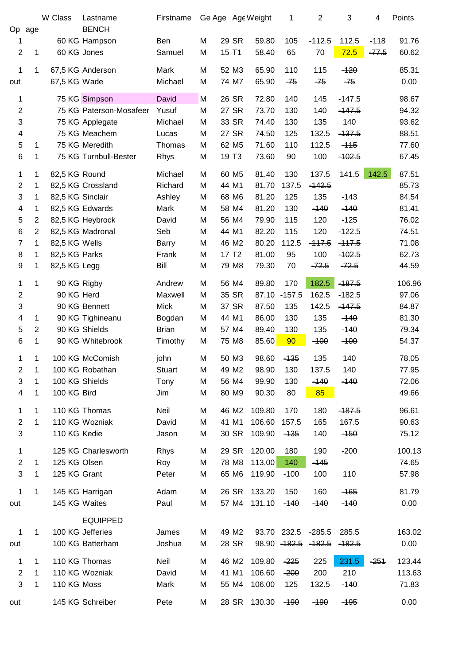|                         |                | W Class          | Lastname                | Firstname    |   |                   | Ge Age Age Weight | 1             | $\overline{2}$ | 3        | 4       | Points |
|-------------------------|----------------|------------------|-------------------------|--------------|---|-------------------|-------------------|---------------|----------------|----------|---------|--------|
| Op                      | age            |                  | <b>BENCH</b>            |              |   |                   |                   |               |                |          |         |        |
| 1                       |                |                  | 60 KG Hampson           | Ben          | M | 29 SR             | 59.80             | 105           | $-112.5$       | 112.5    | $-118$  | 91.76  |
| $\overline{c}$          | 1              |                  | 60 KG Jones             | Samuel       | M | 15 T1             | 58.40             | 65            | 70             | 72.5     | $-77.5$ | 60.62  |
| 1                       | 1              |                  | 67,5 KG Anderson        | Mark         | M | 52 M3             | 65.90             | 110           | 115            | $-120$   |         | 85.31  |
| out                     |                | 67,5 KG Wade     |                         | Michael      | M | 74 M7             | 65.90             | $-75$         | $-75$          | $-75$    |         | 0.00   |
| 1                       |                |                  | 75 KG Simpson           | David        | M | 26 SR             | 72.80             | 140           | 145            | $-147.5$ |         | 98.67  |
| $\overline{c}$          |                |                  | 75 KG Paterson-Mosafeer | Yusuf        | M | 27 SR             | 73.70             | 130           | 140            | $-147.5$ |         | 94.32  |
| 3                       |                |                  | 75 KG Applegate         | Michael      | M | 33 SR             | 74.40             | 130           | 135            | 140      |         | 93.62  |
| 4                       |                |                  | 75 KG Meachem           | Lucas        | M | 27 SR             | 74.50             | 125           | 132.5          | $-437.5$ |         | 88.51  |
| 5                       | 1              |                  | 75 KG Meredith          | Thomas       | M | 62 M <sub>5</sub> | 71.60             | 110           | 112.5          | $-115$   |         | 77.60  |
| 6                       | 1              |                  | 75 KG Turnbull-Bester   | <b>Rhys</b>  | M | 19 T <sub>3</sub> | 73.60             | 90            | 100            | $-102.5$ |         | 67.45  |
| 1                       | 1              | 82,5 KG Round    |                         | Michael      | M | 60 M <sub>5</sub> | 81.40             | 130           | 137.5          | 141.5    | 142.5   | 87.51  |
| $\overline{c}$          | 1              |                  | 82,5 KG Crossland       | Richard      | M | 44 M1             | 81.70             | 137.5         | $-142.5$       |          |         | 85.73  |
| 3                       | 1              | 82,5 KG Sinclair |                         | Ashley       | M | 68 M6             | 81.20             | 125           | 135            | $-143$   |         | 84.54  |
| 4                       | 1              |                  | 82,5 KG Edwards         | Mark         | M | 58 M4             | 81.20             | 130           | $-140$         | $-140$   |         | 81.41  |
| 5                       | $\overline{c}$ |                  | 82,5 KG Heybrock        | David        | M | 56 M4             | 79.90             | 115           | 120            | $-125$   |         | 76.02  |
| 6                       | $\overline{2}$ |                  | 82,5 KG Madronal        | Seb          | M | 44 M1             | 82.20             | 115           | 120            | $-122.5$ |         | 74.51  |
| $\overline{7}$          | 1              | 82,5 KG Wells    |                         | Barry        | M | 46 M2             | 80.20             | 112.5         | $-117.5$       | $-117.5$ |         | 71.08  |
| $\,8\,$                 | 1              | 82,5 KG Parks    |                         | Frank        | M | 17 T <sub>2</sub> | 81.00             | 95            | 100            | $-102.5$ |         | 62.73  |
| 9                       | 1              | 82,5 KG Legg     |                         | Bill         | M | 79 M8             | 79.30             | 70            | $-72.5$        | $-72.5$  |         | 44.59  |
| 1                       | 1              |                  | 90 KG Rigby             | Andrew       | M | 56 M4             | 89.80             | 170           | 182.5          | $-187.5$ |         | 106.96 |
| $\overline{c}$          |                | 90 KG Herd       |                         | Maxwell      | M | 35 SR             | 87.10             | $-157.5$      | 162.5          | $-182.5$ |         | 97.06  |
| 3                       |                |                  | 90 KG Bennett           | <b>Mick</b>  | M | 37 SR             | 87.50             | 135           | 142.5          | $-147.5$ |         | 84.87  |
| 4                       | 1              |                  | 90 KG Tighineanu        | Bogdan       | M | 44 M1             | 86.00             | 130           | 135            | $-140$   |         | 81.30  |
| 5                       | $\overline{2}$ |                  | 90 KG Shields           | <b>Brian</b> | M | 57 M4             | 89.40             | 130           | 135            | $-140$   |         | 79.34  |
| 6                       | 1              |                  | 90 KG Whitebrook        | Timothy      | M | 75 M8             | 85.60             | 90            | $-100$         | $-100$   |         | 54.37  |
| 1                       | 1              |                  | 100 KG McComish         | john         | M | 50 M3             | 98.60             | $-135$        | 135            | 140      |         | 78.05  |
| 2                       | 1              |                  | 100 KG Robathan         | Stuart       | M | 49 M <sub>2</sub> | 98.90             | 130           | 137.5          | 140      |         | 77.95  |
| 3                       | 1              |                  | 100 KG Shields          | Tony         | M | 56 M4             | 99.90             | 130           | $-140$         | $-140$   |         | 72.06  |
| $\overline{\mathbf{4}}$ | 1              | 100 KG Bird      |                         | Jim          | M | 80 M9             | 90.30             | 80            | 85             |          |         | 49.66  |
| 1                       | 1              |                  | 110 KG Thomas           | Neil         | M | 46 M2             | 109.80            | 170           | 180            | $-187.5$ |         | 96.61  |
| $\overline{c}$          | 1              |                  | 110 KG Wozniak          | David        | M | 41 M1             | 106.60            | 157.5         | 165            | 167.5    |         | 90.63  |
| 3                       |                | 110 KG Kedie     |                         | Jason        | M | 30 SR             | 109.90            | $-135$        | 140            | $-150$   |         | 75.12  |
| 1                       |                |                  | 125 KG Charlesworth     | <b>Rhys</b>  | М | 29 SR             | 120.00            | 180           | 190            | $-200$   |         | 100.13 |
| $\overline{c}$          | 1              | 125 KG Olsen     |                         | Roy          | M | 78 M8             | 113.00            | 140           | $-145$         |          |         | 74.65  |
| 3                       | 1              | 125 KG Grant     |                         | Peter        | М | 65 M6             | 119.90            | $-100$        | 100            | 110      |         | 57.98  |
| $\mathbf 1$             | 1              |                  | 145 KG Harrigan         | Adam         | М | 26 SR             | 133.20            | 150           | 160            | $-165$   |         | 81.79  |
| out                     |                |                  | 145 KG Waites           | Paul         | M | 57 M4             | 131.10            | -140          | $-140$         | $-140$   |         | 0.00   |
|                         |                |                  | <b>EQUIPPED</b>         |              |   |                   |                   |               |                |          |         |        |
| 1                       | 1              |                  | 100 KG Jefferies        | James        | Μ | 49 M <sub>2</sub> |                   | 93.70 232.5   | $-285.5$       | 285.5    |         | 163.02 |
| out                     |                |                  | 100 KG Batterham        | Joshua       | M | 28 SR             |                   | 98.90 - 182.5 | $-182.5$       | $-182.5$ |         | 0.00   |
| 1                       | 1              |                  | 110 KG Thomas           | Neil         | Μ | 46 M2             | 109.80            | $-225$        | 225            | 231.5    | $-251$  | 123.44 |
| $\overline{2}$          | 1              |                  | 110 KG Wozniak          | David        | Μ | 41 M1             | 106.60            | $-200$        | 200            | 210      |         | 113.63 |
| 3                       | 1              | 110 KG Moss      |                         | Mark         | м | 55 M4             | 106.00            | 125           | 132.5          | $-140$   |         | 71.83  |
| out                     |                |                  | 145 KG Schreiber        | Pete         | Μ | 28 SR             | 130.30            | $-190$        | $-190$         | $-195$   |         | 0.00   |